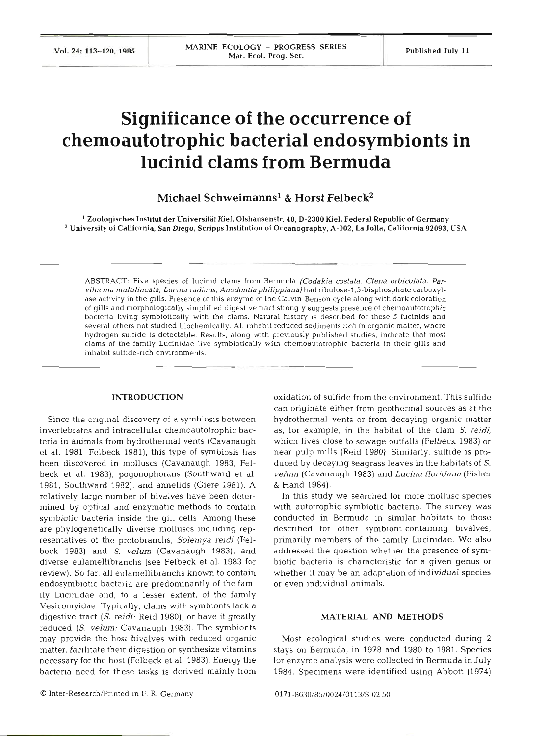# **Significance of the occurrence of chemoautotrophic bacterial endosymbionts in lucinid clams from Bermuda**

Michael Schweimannsl & **Horst** Felbeck2

 $^{\rm 1}$  Zoologisches Institut der Universität Kiel. Olshausenstr. 40, D-2300 Kiel. Federal Republic of Germany  $^2$  University of California, San Diego, Scripps Institution of Oceanography, A-002, La Jolla, California 92093, USA

ABSTRACT: Five species of lucinid clams from Bermuda *(Codakia costata, Ctena orbiculata, Parvilucina multilineata, Lucina radians, Anodontiaphilippiana)* had *ribulose-1.5-bisphosphate* carboxylase activity in the gills. Presence of this enzyme of the Calvin-Benson cycle along with dark coloration of gills and morphologically simplified digestive tract strongly suggests presence of chemoautotrophic bacteria living symbiotically with the clams. Natural history is described for these 5 lucinids and several others not studied biochemically All inhabit reduced sediments rich in organic matter, where hydrogen sulfide is detectable. Results, along with previously published studies, indicate that most clams of the family Lucinidae live symbiotically with chemoautotrophic bacteria in their gills and inhabit sulfide-rich environments.

## **INTRODUCTION**

Since the original discovery of a symbiosis between invertebrates and intracellular chemoautotrophic bacteria in animals from hydrothermal vents (Cavanaugh et al. 1981, Felbeck 1981), this type of symbiosis has been discovered in molluscs (Cavanaugh 1983, Felbeck et al. 1983), pogonophorans (Southward et al. 1981, Southward 1982), and annelids (Giere 1981). A relatively large number of bivalves have been determined by optical and enzymatic methods to contain symbiotic bacteria inside the gill cells. Among these are phylogenetically diverse molluscs including representatives of the protobranchs, Solemya reidi (Felbeck 1983) and S. velum (Cavanaugh 1983), and diverse eulamellibranchs (see Felbeck et al. 1983 for review). So far, all eulamellibranchs known to contain endosymbiotic bacteria are predominantly of the family Lucinidae and, to a lesser extent, of the family Vesicomyidae. Typically, clams with symbionts lack a digestive tract (S. reidi: Reid 1980), or have it greatly reduced (S. velum: Cavanaugh 1983). The symbionts may provide the host bivalves with reduced organic matter, facilitate their digestion or synthesize vitamins necessary for the host (Felbeck et al. 1983). Energy the bacteria need for these tasks is derived mainly from oxidation of sulfide from the environment. This sulfide can originate either from geothermal sources as at the hydrothermal vents or from decaying organic matter as, for example, in the habitat of the clam S. reidi, which lives close to sewage outfalls (Felbeck 1983) or near pulp mills (Reid 1980). Similarly, sulfide is produced by decaying seagrass leaves in the habitats of S. velum (Cavanaugh 1983) and Lucina floridana (Fisher & Hand 1984).

In this study we searched for more mollusc species with autotrophic symbiotic bacteria. The survey was conducted in Bermuda in similar habitats to th described for other symbiont-containing bivalves, primarily members of the family Lucinidae. We also addressed the question whether the presence of symbiotic bacteria is characteristic for a given genus or whether it may be an adaptation of individual species or even individual animals.

### **MATERIAL AND METHODS**

Most ecological studies were conducted during 2 stays on Bermuda, in 1978 and 1980 to 1981. Species for enzyme analysis were collected in Bermuda in July 1984. Specimens were identified using Abbott (1974)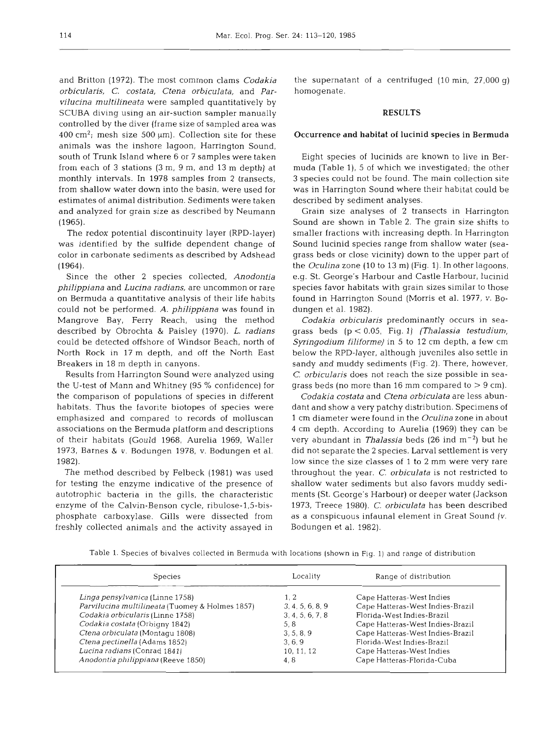and Britton (1972). The most common clams *Codakia orbicularis, C. costata, Ctena orbiculata,* and *Parvilucina multilineata* were sampled quantitatively by SCUBA diving using an air-suction sampler manually controlled by the diver (frame size of sampled area was 400 cm<sup>2</sup>; mesh size 500  $\mu$ m). Collection site for these animals was the inshore lagoon, Harrington Sound, south of Trunk Island where 6 or **7** samples were taken from each of 3 stations (3 m, 9 m, and **13** m depth) at monthly intervals. In 1978 samples from 2 transects, from shallow water down into the basin, were used for estimates of animal distribution. Sediments were taken and analyzed for grain size as described by Neumann (1965).

The redox potential discontinuity layer (RPD-layer) was identified by the sulfide dependent change of color in carbonate sediments as described by Adshead (1964).

Since the other 2 species collected, *Anodontia philippiana* and *Lucina radians,* are uncommon or rare on Bermuda a quantitative analysis of their life habits could not be performed. A. *philippiana* was found in Mangrove Bay, Ferry Reach, using the method described by Obrochta & Paisley (1970). L. *radians*  could be detected offshore of Windsor Beach, north of North Rock in 17 m depth, and off the North East Breakers in 18 m depth in canyons.

Results from Harrington Sound were analyzed using the U-test of Mann and Whitney (95 % confidence) for the comparison of populations of species in different habitats. Thus the favorite biotopes of species were emphasized and compared to records of molluscan associations on the Bermuda platform and descriptions of their habitats (Gould 1968, Aurelia 1969, Waller 1973, Barnes & v. Bodungen 1978, v. Bodungen et al. 1982).

The method described by Felbeck (1981) was used for testing the enzyme indicative of the presence of autotrophic bacteria in the gills, the characteristic enzyme of the Calvin-Benson cycle, ribulose-1,5-bisphosphate carboxylase. Gills were dissected from freshly collected animals and the activity assayed in

the supernatant of a centrifuged (10 min, 27,000 g) homogenate.

#### **RESULTS**

#### *Occurrence and habitat* **of** *lucinid species in Bermuda*

Eight species of lucinids are known to live in Bermuda (Table l), 5 of which we investigated; the other 3 species could not be found. The main collection site was in Harrington Sound where their habitat could be described by sediment analyses.

Grain size analyses of 2 transects in Harrington Sound are shown in Table 2. The grain size shifts to smaller fractions with increasing depth. In Harrington Sound lucinid species range from shallow water (seagrass beds or close vicinity) down to the upper part of the *Oculina* zone (10 to 13 m) (Fig. 1). In other lagoons, e.g. St. George's Harbour and Castle Harbour, lucinid species favor habitats with grain sizes similar to those found in Harrington Sound (Morris et al. 1977, v. Bodungen et al. 1982).

*Codakia orbicularis* predominantly occurs in seagrass beds (p < 0.05, Fig. l) *(Thalassia testudium, Syringodium filiforme)* in 5 to 12 cm depth, a few cm below the RPD-layer, although juveniles also settle in sandy and muddy sediments (Fig. **2).** There, however, C. *orbicularis* does not reach the size possible in seagrass beds (no more than 16 mm compared to  $> 9$  cm).

*Codakia costata* and *Ctena orbiculata* are less abundant and show a very patchy distribution. Specimens of 1 cm diameter were found in the *Oculina* zone in about **4** cm depth. According to Aurelia (1969) they can be very abundant in *Thalassia* beds (26 ind m-2) but he did not separate the 2 species. Larval settlement is very low since the size classes of 1 to 2 mm were very rare throughout the year. *C. orbiculata* is not restricted to shallow water sediments but also favors muddy sediments (St. George's Harbour) or deeper water (Jackson 1973, Treece 1980). C. *orbiculata* has been described as a conspicuous infaunal element in Great Sound (v. Bodungen et al. 1982).

|  |  | Table 1. Species of bivalves collected in Bermuda with locations (shown in Fig. 1) and range of distribution |
|--|--|--------------------------------------------------------------------------------------------------------------|
|--|--|--------------------------------------------------------------------------------------------------------------|

| Species                                         | Locality         | Range of distribution            |
|-------------------------------------------------|------------------|----------------------------------|
| Linga pensylvanica (Linne 1758)                 | 1.2              | Cape Hatteras-West Indies        |
| Parvilucina multilineata (Tuomey & Holmes 1857) | 3, 4, 5, 6, 8, 9 | Cape Hatteras-West Indies-Brazil |
| Codakia orbicularis (Linne 1758)                | 3, 4, 5, 6, 7, 8 | Florida-West Indies-Brazil       |
| Codakia costata (Orbigny 1842)                  | 5.8              | Cape Hatteras-West Indies-Brazil |
| Ctena orbiculata (Montagu 1808)                 | 3, 5, 8, 9       | Cape Hatteras-West Indies-Brazil |
| Ctena pectinella (Adams 1852)                   | 3, 6, 9          | Florida-West Indies-Brazil       |
| Lucina radians (Conrad 1841)                    | 10, 11, 12       | Cape Hatteras-West Indies        |
| Anodontia philippiana (Reeve 1850)              | 4.8              | Cape Hatteras-Florida-Cuba       |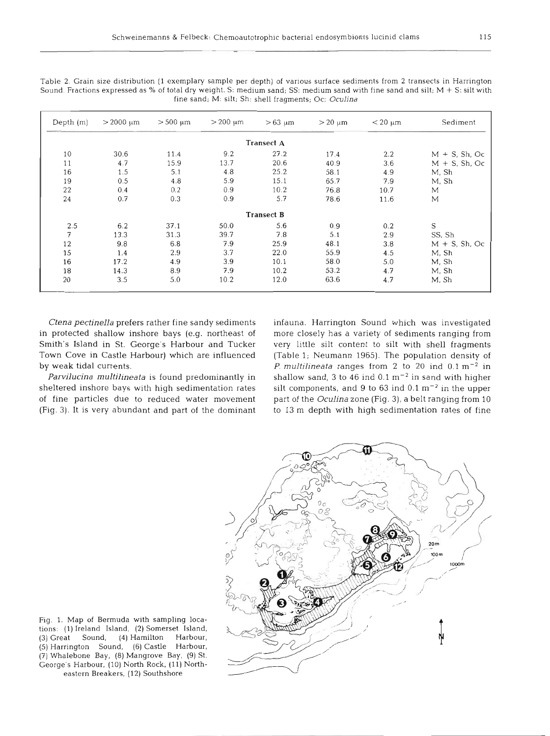| Depth $(m)$ | $> 2000 \mu m$ | $> 500 \mu m$ | $>200 \text{ µm}$ | $>63 \mu m$       | $> 20 \mu m$ | $<$ 20 $\mu$ m | Sediment         |
|-------------|----------------|---------------|-------------------|-------------------|--------------|----------------|------------------|
|             |                |               |                   | <b>Transect A</b> |              |                |                  |
| 10          | 30.6           | 11.4          | 9.2               | 27.2              | 17.4         | 2.2            | $M + S$ , Sh, Oc |
| 11          | 4.7            | 15.9          | 13.7              | 20.6              | 40.9         | 3.6            | $M + S$ , Sh, Oc |
| 16          | 1.5            | 5.1           | 4.8               | 25.2              | 58.1         | 4.9            | M. Sh            |
| 19          | 0.5            | 4.8           | 5.9               | 15.1              | 65.7         | 7.9            | M, Sh            |
| 22          | 0.4            | 0.2           | 0.9               | 10.2              | 76.8         | 10.7           | M                |
| 24          | 0.7            | 0.3           | 0.9               | 5.7               | 78.6         | 11.6           | М                |
|             |                |               |                   | <b>Transect B</b> |              |                |                  |
| 2.5         | 6.2            | 37.1          | 50.0              | 5.6               | 0.9          | 0.2            | S                |
| 7           | 13.3           | 31.3          | 39.7              | 7.8               | 5.1          | 2.9            | SS, Sh           |
| 12          | 9.8            | 6.8           | 7.9               | 25.9              | 48.1         | 3.8            | $M + S$ , Sh, Oc |
| 15          | 1.4            | 2.9           | 3.7               | 22.0              | 55.9         | 4.5            | M, Sh            |
| 16          | 17.2           | 4.9           | 3.9               | 10.1              | 58.0         | 5.0            | M, Sh            |
| 18          | 14.3           | 8.9           | 7.9               | 10.2              | 53.2         | 4.7            | M, Sh            |
| 20          | 3.5            | 5.0           | 10.2              | 12.0              | 63.6         | 4.7            | M, Sh            |

Table 2. Grain size distribution (1 exemplary sample per depth) of various surface sediments from 2 transects in Harrington Sound. Fractions expressed as % of total dry weight. S: medium sand; SS: medium sand with fine sand and silt; M + S: silt with fine sand; M: silt; Sh: shell fragments; Oc: *Oculina* 

*Ctena pectinella* prefers rather fine sandy sediments in protected shallow inshore bays (e.g. northeast of Smith's Island in St. George's Harbour and Tucker Town Cove in Castle Harbour) which are influenced by weak tidal currents.

*Pam'lucina multilineata* is found predominantly in sheltered inshore bays with high sedimentation rates of fine particles due to reduced water movement (Fig. 3). It is very abundant and part of the dominant infauna. Harrington Sound which was investigated more closely has a variety of sediments ranging from very little silt content to silt with shell fragments (Table 1; Neumann 1965). The population density of *P. multilineata* ranges from **2** to 20 ind 0.1 m-2 in shallow sand,  $3$  to  $46$  ind  $0.1 \text{ m}^{-2}$  in sand with higher silt components, and 9 to  $63$  ind  $0.1 \text{ m}^{-2}$  in the upper part of the *Oculina* zone (Fig. **3),** a belt ranging from 10 to **13** m depth with high sedimentation rates of fine



Fig. 1. Map of Bermuda with sampling locations: (1) Ireland Island, (2) Somerset Island, (3) Great Sound, (4) Hamilton Harbour, (5) Harrington Sound, (6) Castle Harbour, (7) Whalebone Bay, (8) Mangrove Bay. (9) St. George's Harbour, (10) North Rock. (11) Northeastern Breakers, (12) Southshore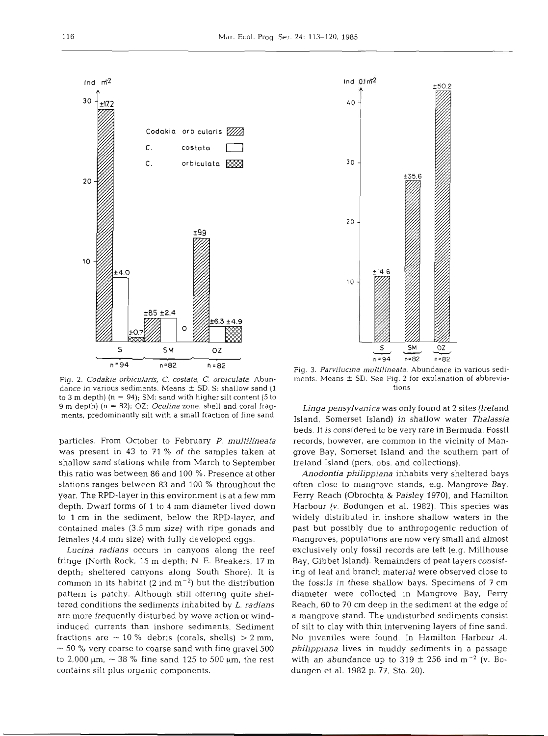

Fig. 2. *Codakia orbicularis, C. costata, C. orbiculata.* Abundance in various sediments. Means  $\pm$  SD. S: shallow sand (1) to **3** m depth) (n = 94); SM: sand with higher silt content (5 to 9 m depth) (n = 82); OZ: *Oculina* zone, shell and coral fragments, predominantly silt with a small fraction of fine sand

particles. From October to February P. *multilineata*  was present in 43 to 71 % of the samples taken at shallow sand stations while from March to September this ratio was between 86 and 100 %. Presence at other stations ranges between 83 and 100 % throughout the year. The RPD-layer in this environment is at a few mm depth. Dwarf forms of 1 to 4 mm diameter lived down to 1 cm in the sediment, below the RPD-layer, and contained males (3.5 mm size) with ripe gonads and females (4.4 mm size) with fully developed eggs.

*Lucina radians* occurs in canyons along the reef fringe (North Rock, 15 m depth; N. E. Breakers, 17 m depth; sheltered canyons along South Shore). It is common in its habitat (2 ind  $m^{-2}$ ) but the distribution pattern is patchy. Although still offering quite sheltered conditions the sediments inhabited by L. *radians*  are more frequently disturbed by wave action or windinduced currents than inshore sediments. Sediment fractions are  $\sim$  10 % debris (corals, shells)  $>$  2 mm,  $\sim$  50 % very coarse to coarse sand with fine gravel 500 to 2,000  $\mu$ m,  $\sim$  38 % fine sand 125 to 500  $\mu$ m, the rest contains silt plus organic components.



Fig. 3. *Parvilucina multilineata.* Abundance in various sediments. Means  $\pm$  SD. See Fig. 2 for explanation of abbreviations

*Linga pensylvanica* was only found at 2 sites (Ireland Island, Somerset Island) in shallow water *Thalassia*  beds. It is considered to be very rare in Bermuda. Fossil records, however, are common in the vicinity of Mangrove Bay, Somerset Island and the southern part of Ireland Island (pers. obs. and collections).

*Anodontia philippiana* inhabits very sheltered bays often close to mangrove stands, e.g. Mangrove Bay, Ferry Reach (Obrochta & Paisley 1970), and Hamilton Harbour (v. Bodungen et al. 1982). This species was widely distributed in inshore shallow waters in the past but possibly due to anthropogenic reduction of mangroves, populations are now very small and almost exclusively only fossil records are left (e.g. Millhouse Bay, Gibbet Island). Remainders of peat layers consisting of leaf and branch material were observed close to the fossils in these shallow bays. Specimens of 7 cm diameter were collected in Mangrove Bay, Ferry Reach, 60 to 70 cm deep in the sediment at the edge of a mangrove stand. The undisturbed sediments consist of silt to clay with thin intervening layers of fine sand. No juveniles were found. In Hamilton Harbour *A. philippiana* lives in muddy sediments in a passage with an abundance up to  $319 \pm 256$  ind m<sup>-2</sup> (v. Bodungen et al. 1982 p. 77, Sta. 20).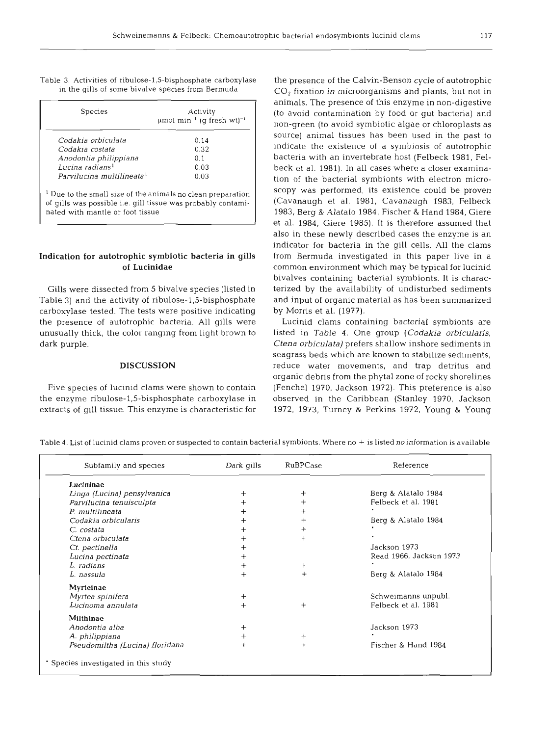| Table 3. Activities of ribulose-1,5-bisphosphate carboxylase |  |
|--------------------------------------------------------------|--|
| in the gills of some bivalve species from Bermuda            |  |

| Species                                                                                                                                                                    | Activity<br>$\mu$ mol min <sup>-1</sup> (q fresh wt) <sup>-1</sup> |  |  |
|----------------------------------------------------------------------------------------------------------------------------------------------------------------------------|--------------------------------------------------------------------|--|--|
| Codakia orbiculata                                                                                                                                                         | 0.14                                                               |  |  |
| Codakia costata                                                                                                                                                            | 0.32                                                               |  |  |
| Anodontia philippiana                                                                                                                                                      | 0.1                                                                |  |  |
| Lucina radians <sup>1</sup>                                                                                                                                                | 0.03                                                               |  |  |
| Parvilucina multilineata <sup>1</sup>                                                                                                                                      | 0.03                                                               |  |  |
| <sup>1</sup> Due to the small size of the animals no clean preparation<br>of gills was possible i.e. gill tissue was probably contami-<br>nated with mantle or foot tissue |                                                                    |  |  |

# **Indication for autotrophic symbiotic bacteria in gills of Lucinidae**

Gills were dissected from 5 bivalve species (listed in Table 3) and the activity of **ribulose-1,5-bisphosphate**  carboxylase tested. The tests were positive indicating the presence of autotrophic bacteria. All gills were unusually thick, the color ranging from light brown to dark purple.

#### **DISCUSSION**

Five species of lucinid clams were shown to contain the enzyme **ribulose-1,5-bisphosphate** carboxylase in extracts of gill tissue. This enzyme is characteristic for

the presence of the Calvin-Benson cycle of autotrophic CO, fixation in microorganisms and plants, but not in animals. The presence of this enzyme in non-digestive (to avoid contamination by food or gut bacteria) and non-green (to avoid symbiotic algae or chloroplasts as source) animal tissues has been used in the past to indicate the existence of a symbiosis of autotrophic bacteria with an invertebrate host (Felbeck 1981, Felbeck et al. 1981). In all cases where a closer examination of the bacterial symbionts with electron microscopy was performed, its existence could be proven (Cavanaugh et al. 1981, Cavanaugh 1983, Felbeck 1983, Berg & Alatalo 1984, Fischer & Hand 1984, Giere et al. 1984, Giere 1985). It is therefore assumed that also in these newly described cases the enzyme is an indicator for bacteria in the gill cells. All the clams from Bermuda investigated in this paper live in a common environment which may be typical for lucinid bivalves containing bacterial symbionts. It is characterized by the availability of undisturbed sediments and input of organic material as has been summarized by Morris et al. (1977).

Lucinid clams containing bacterial symbionts are listed in Table 4. One group *(Codakia orbicularis, Ctena orbiculata)* prefers shallow inshore sediments in seagrass beds which are known to stabilize sediments, reduce water movements, and trap detritus and organic debris from the phytal zone of rocky shorelines (Fenchel 1970, Jackson 1972). This preference is also observed in the Caribbean (Stanley 1970, Jackson 1972, 1973, Turney & Perkins 1972, Young & Young

| Subfamily and species              | Dark gills | RuBPCase | Reference               |
|------------------------------------|------------|----------|-------------------------|
| Lucininae                          |            |          |                         |
| Linga (Lucina) pensylvanica        |            | $^+$     | Berg & Alatalo 1984     |
| Parvilucina tenuisculpta           |            |          | Felbeck et al. 1981     |
| P. multilineata                    |            |          |                         |
| Codakia orbicularis                |            |          | Berg & Alatalo 1984     |
| C. costata                         |            |          |                         |
| Ctena orbiculata                   |            |          |                         |
| Ct. pectinella                     |            |          | Jackson 1973            |
| Lucina pectinata                   |            |          | Read 1966, Jackson 1973 |
| L. radians                         |            | $^{+}$   |                         |
| L. nassula                         |            | $^{+}$   | Berg & Alatalo 1984     |
| Myrteinae                          |            |          |                         |
| Myrtea spinifera                   | ┿          |          | Schweimanns unpubl.     |
| Lucinoma annulata                  | $^{+}$     | $^{+}$   | Felbeck et al. 1981     |
| <b>Milthinae</b>                   |            |          |                         |
| Anodontia alba                     | ┿          |          | Jackson 1973            |
| A. philippiana                     | $^+$       | $^+$     |                         |
| Pseudomiltha (Lucina) floridana    | $^+$       | $^{+}$   | Fischer & Hand 1984     |
| Species investigated in this study |            |          |                         |

Table 4. List of lucinid clams proven or suspected to contain bacterial symbionts. Where no  $+$  is listed no information is available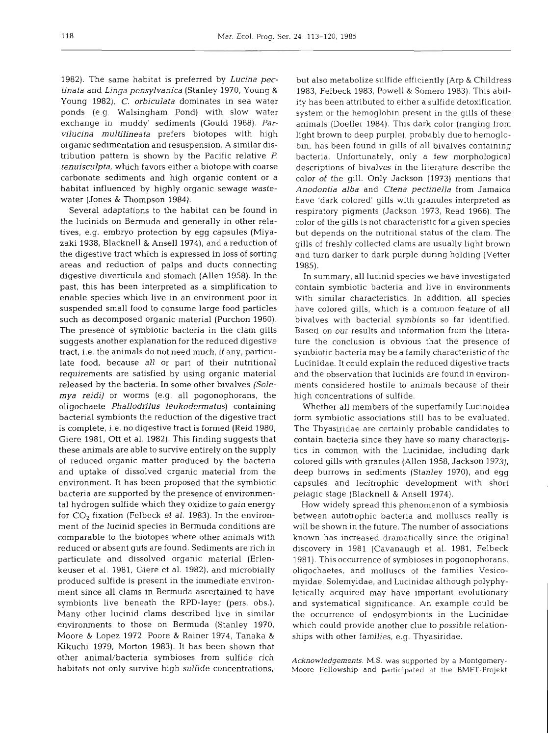1982). The same habitat is preferred by *Lucina pectinata* and *Linga pensylvanica* (Stanley 1970, Young & Young 1982). C. *orbiculata* dominates in sea water ponds (e.g. Walsingham Pond) with slow water exchange in 'muddy' sediments (Gould 1968). *Parvilucina multilineata* prefers biotopes with high organic sedimentation and resuspension. A similar distribution pattern is shown by the Pacific relative *P. tenuisculpta,* which favors either a biotope with coarse carbonate sediments and high organic content or a habitat influenced by highly organic sewage wastewater (Jones & Thompson 1984).

Several adaptations to the habitat can be found in the lucinids on Bermuda and generally in other relatives, e.g. embryo protection by egg capsules (Miyazaki 1938, Blacknell & Ansell 1974), and a reduction of the digestive tract which is expressed in loss of sorting areas and reduction of palps and ducts connecting digestive diverticula and stomach (Allen 1958). In the past, this has been interpreted as a simplification to enable species which live in an environment poor in suspended small food to consume large food particles such as decomposed organic material (Purchon 1960). The presence of symbiotic bacteria in the clam gills suggests another explanation for the reduced digestive tract, i.e. the animals do not need much, if any, particulate food, because all or part of their nutritional requirements are satisfied by using organic material released by the bacteria. In some other bivalves *(Solemya reidi)* or worms (e.g. all pogonophorans, the oligochaete *Phallodrilus leukodermatus)* containing bacterial symbionts the reduction of the digestive tract is complete, i.e. no digestive tract is formed (Reid 1980, Giere 1981, Ott et al. 1982). This finding suggests that these animals are able to survive entirely on the supply of reduced organic matter produced by the bacteria and uptake of dissolved organic material from the environment. It has been proposed that the symbiotic bacteria are supported by the presence of environmental hydrogen sulfide which they oxidize to gain energy for *CO2* fixation (Felbeck et al. 1983). In the environment of the lucinid species in Bermuda conditions are comparable to the biotopes where other animals with reduced or absent guts are found. Sediments are rich in particulate and dissolved organic material (Erlenkeuser et al. 1981, Giere et al. 1982), and microbially produced sulfide is present in the immediate environment since all clams in Bermuda ascertained to have symbionts live beneath the RPD-layer (pers. obs.). Many other lucinid clams described live in similar environments to those on Bermuda (Stanley 1970, Moore & Lopez 1972, Poore & Rainer 1974, Tanaka & Kikuchi 1979, Morton 1983). It has been shown that other animal/bacteria symbioses from sulfide rich habitats not only survive high sulfide concentrations,

but also metabolize sulfide efficiently (Arp & Childress 1983, Felbeck 1983, Powell & Somero 1983). This ability has been attributed to either a sulfide detoxification system or the hemoglobin present in the gills of these animals (Doeller 1984). This dark color (ranging from light brown to deep purple), probably due to hemoglobin, has been found in gills of all bivalves containing bacteria. Unfortunately, only a few morphological descriptions of bivalves in the literature describe the color of the gill. Only Jackson (1973) mentions that *Anodontia alba* and *Ctena pectinella* from Jamaica have 'dark colored' gills with granules interpreted as respiratory pigments (Jackson 1973, Read 1966). The color of the gills is not characteristic for a given species but depends on the nutritional status of the clam. The gills of freshly collected clams are usually light brown and turn darker to dark purple during holding (Vetter 1985).

In summary, all lucinid species we have investigated contain symbiotic bacteria and live in environments with similar characteristics. In addition, all species have colored gills, which is a common feature of all bivalves with bacterial symbionts so far identified. Based on our results and information from the literature the conclusion is obvious that the presence of symbiotic bacteria may be a family characteristic of the Lucinidae. It could explain the reduced digestive tracts and the observation that lucinids are found in environments considered hostile to animals because of their high concentrations of sulfide.

Whether all members of the superfamily Lucinoidea form symbiotic associations still has to be evaluated. The Thyasiridae are certainly probable candidates to contain bacteria since they have so many characteristics in common with the Lucinidae, including dark colored gills with granules (Allen 1958, Jackson 1973), deep burrows in sediments (Stanley 1970), and egg capsules and lecitrophic development with short pelagic stage (Blacknell & Ansell 1974).

How widely spread this phenomenon of a symbiosis between autotrophic bacteria and molluscs really is will be shown in the future. The number of associations known has increased dramatically since the original discovery in 1981 (Cavanaugh et al. 1981, Felbeck 1981). This occurrence of symbioses in pogonophorans, oligochaetes, and molluscs of the families Vesicomyidae, Solemyidae, and Lucinidae although polyphyletically acquired may have important evolutionary and systematical significance. An example could be the occurrence of endosymbionts in the Lucinidae which could provide another clue to possible relationships with other families, e.g. Thyasiridae.

*Acknowledgements.* M.S. was supported by a Montgomery-Moore Fellowship and participated at the BMFT-Projekt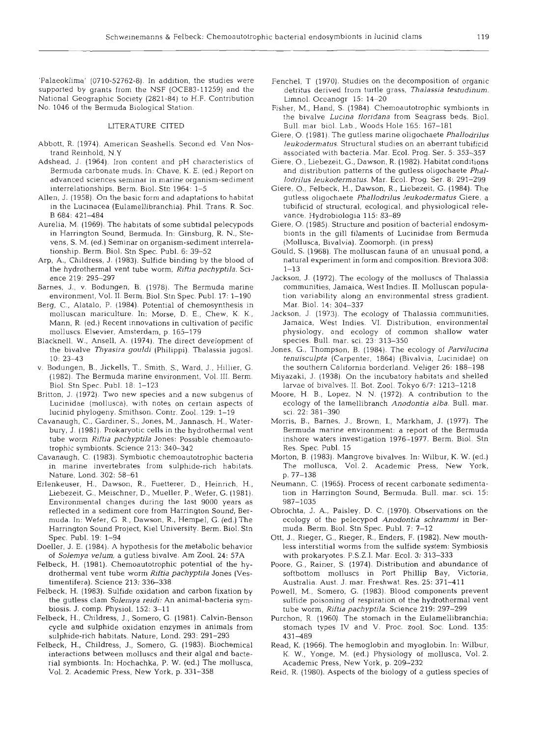'Palaeoklima' (0710-52762-8). In addition, the studies were supported by grants from the NSF (OCE83-11259) and the National Geographic Society (2821-84) to H.F. Contribution No. 1046 of the Bermuda Biological Station.

#### LITERATURE CITED

- Abbott, R. (1974). American Seashells. Second ed. Van Nostrand Reinhold, N.Y
- Adshead, J. (1964). Iron content and pH characteristics of Bermuda carbonate muds. In: Chave, K. E. (ed.) Report on advanced sciences seminar in marine organism-sediment interrelationships. Berm. Biol. Stn 1964: 1-5
- Allen, J. (1958). On the basic form and adaptations to habitat in the Lucinacea (Eulamellibranchia). Phil. Trans. R. Soc. B 684: 421-484
- Aurelia, M. (1969). The habitats of some subtidal pelecypods in Harrington Sound, Bermuda. In: Ginsburg, R. N., Stevens, S. M. (ed.) Seminar on organism-sediment interrelationship. Berm. Biol. Stn Spec. Publ. 6: 39-52
- Arp, A., Childress, J. (1983). Sulfide binding by the blood of the hydrothermal vent tube worm, Riftia pachyptila. Science 219: 295-297
- Barnes, J., v. Bodungen, B. (1978). The Bermuda marine environment, Vol. 11. Berm. Biol. Stn Spec. Publ. 17: 1-190
- Berg, C.. Alatalo, P. (1984). Potential of chemosynthesis in molluscan mariculture. In: Morse, D. E., Chew, K. K., Mann, R. (ed.) Recent innovations in cultivation of pacific molluscs. Elsevier, Amsterdam, p. 165-179
- Blacknell, W., Ansell, A. (1974). The direct development of the bivalve *Thyasira gouldi* (Philippi). Thalassia jugosl.  $10: 23 - 43$
- v. Bodungen, B., Jickells, T., Smith, S., Ward, J., Hillier, G. (1982). The Bermuda marine environment, Vol. 111. Berm. Biol. Stn Spec. Publ. 18: 1-123
- Britton, J. (1972). Two new species and a new subgenus of Lucinidae (mollusca), with notes on certain aspects of lucinid phylogeny. Smithson. Contr. Zool. 129: 1-19
- Cavanaugh, C., Gardiner, S., Jones. M,, Jannasch, H., Waterbury, J. (1981). Prokaryotic cells in the hydrothermal vent tube worm *Riftia pachyptila* Jones: Possible chemoautotrophic symbionts. Science 213: 340-342
- Cavanaugh, C. (1983). Symbiotic chemoautotrophic bacteria in marine invertebrates from sulphide-rich habitats. Nature, Lond. 302: 58-61
- Erlenkeuser. H., Dawson, R.. Fuetterer, D., Heinrich, H., Liebezeit, G., Meischner, D., Mueller, P,, Wefer, G. (1981). Environmental changes during the last 9000 years as reflected in a sediment core from Harrington Sound, Bermuda. In: Wefer, G. R., Dawson, R., Hempel, G. (ed.) The Harrington Sound Project, Kiel University. Berm. Biol. Stn Spec. Publ. 19: 1-94
- Doeller, J. E. (1984). A hypothesis for the metabolic behavior of *Solemya velum,* a gutless bivalve. Am Zool. 24: 57A
- Felbeck, H. (1981). Chemoautotrophic potential of the hydrothermal vent tube worm *Riftia pachyptila* Jones (Vestimentifera). Science 213: 336-338
- Felbeck, H. (1983). Sulfide oxidation and carbon fixation by the gutless clam *Solemya reidi:* An animal-bacteria symbiosis. J. comp. Physiol. 152: 3-11
- Felbeck, H., Childress, J., Somero, G. (1981). Calvin-Benson cycle and sulphide oxidation enzymes in animals from sulphide-rich habitats. Nature, Lond. 293: 291-293
- Felbeck, H.. Childress, J., Somero. G. (1983). Biochemical interactions between molluscs and their algal and bacterial symbionts. In: Hochachka, P. W. (ed.) The mollusca. Vol. 2. Academic Press, New York, p. 331-358
- Fenchel, T (1970). Studies on the decomposition of organic detritus derived from turtle grass, *Thalassia testudinum.*  Limnol. Oceanogr 15: 14-20
- Fisher, M., Hand, S. (1984). Chemoautotrophic symbionts in the blvalve *Lucina flondana* from Seagrass beds. Biol. Bull. mar biol. Lab., Woods Hole 165: 167-181
- Giere, 0. (1981). The gutless marine oligochaete *Phallodrilus leukodermatus.* Structural studies on an aberrant tubificid associated with bacteria. Mar. Ecol. Prog. Ser. 5: 353-357
- Giere, 0.. Liebezeit, G., Dawson, R. (1982). Habitat conditions and distribution patterns of the gutless oligochaete *Phallodrilus leukodermatus.* Mar. Ecol. Prog. Ser. 8: 291-299
- Giere, O., Felbeck, H., Dawson, R., Liebezeit, G. (1984). The gutless oligochaete *Phallodrilus leukodermatus* Giere, a tubificid of structural, ecological, and physiological relevance. Hydrobiologia 115: 83-89
- Giere, 0. (1985). Structure and position of bacterial endosymbionts in the gill filaments of Lucinidae from Bermuda (Mollusca. Bivalvia). Zoomorph. (in press)
- Gould, S. (1968). The molluscan fauna of an unusual pond, a natural experiment in form and composition. Breviora 308:  $1 - 13$
- Jackson, J. (1972). The ecology of the molluscs of Thalassia communities, Jamaica, West Indies. 11. Molluscan population variability along an environmental stress gradient. Mar. Biol. 14: 304-337
- Jackson. J. (1973). The ecology of Thalassia communities, Jamaica, West Indies. VI. Distribution, environmental physiology, and ecology of common shallow water species. Bull, mar. sci. 23. 313-350
- Jones, G., Thompson, B. (1984). The ecology of *Parvilucina tenujsculpta* (Carpenter, 1864) (Blvalvia, Lucinidae) on the southern California borderland. Veliger 26: 188-198
- Miyazaki. J. (1938). On the incubatory habitats and shelled larvae of bivalves. 11. Bot. Zool. Tokyo 6/7: 1213-1218
- Moore, H. B.. Lopez, N. N. (1972). A contribution to the ecology of the lamellibranch *Anodontia alba.* Bull. mar. sci. 22: 381-39
- Morris, B., Barnes, J., Brown, I., Markham, J. (1977). The Bermuda marine environment: a report of the Bermuda inshore waters investigation 1976-1977. Berm. Biol. Stn Res. Spec. Publ. 15
- Morton, B. (1983). Mangrove bivalves. In: Wilbur, K. W. (ed.) The mollusca. Vol. 2. Academic Press, New York, p. 77-138
- Neumann, C. (1965). Process of recent carbonate sedimentation in Harrington Sound, Bermuda. Bull. mar. sci. 15: 987-103
- Obrochta, J. A., Paisley, D. C. (1970). Observations on the ecology of the pelecypod *Anodontia schrammi* in Bermuda. Berm. Biol. Stn Spec. Publ. 7: 7-12
- Ott, J., Rieger, G., Rieger, R., Enders, F. (1982). New mouthless interstitial worms from the sulfide system: Symbiosis with prokaryotes. P.S.Z.I. Mar. Ecol. 3: 313-333
- Poore, G., Rainer, S. (1974). Distribution and abundance of softbottom molluscs in Port Phillip Bay, Victoria, Australia. Aust, J. mar. Freshwat. Res. 25: 371-41 1
- Powell, M,, Somero, G. (1983). Blood components prevent sulfide poisoning of respiration of the hydrothermal vent tube worm, *Riftia pachyptila.* Science 219: 297-299
- Purchon, R. (1960). The stomach in the Eulamellibranchia; stomach types IV and V. Proc. zool. Soc. Lond. 135: 431-489
- Read, K. (1966). The hemoglobin and myoglobin. In: Wilbur, K. W.. Yonge, M. (ed.) Physiology of mollusca, Vol. 2. Academic Press, New York, p. 209-232
- Reid, R. (1980). Aspects of the biology of a gutless species of